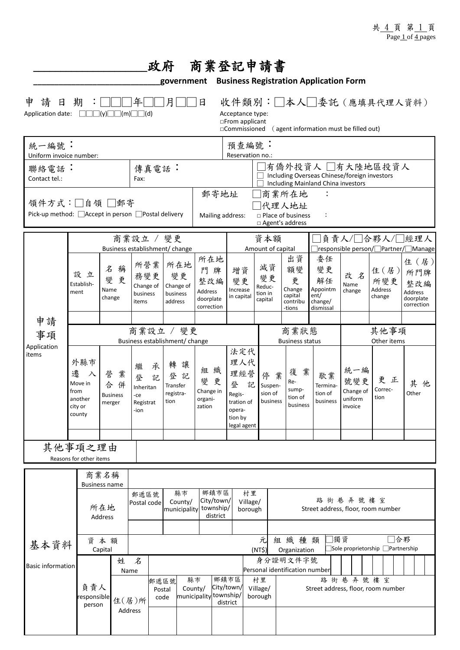|                                                                                                                                                                                                                                         |                                                                  |                                        |                           |                                                                              |        | 政府 商業登記申請書                                    |                                                                           |                                                                  |                                                                                                                             |                                               |                                               |                                                          |                                                            |                                               |                                         |                                                           |
|-----------------------------------------------------------------------------------------------------------------------------------------------------------------------------------------------------------------------------------------|------------------------------------------------------------------|----------------------------------------|---------------------------|------------------------------------------------------------------------------|--------|-----------------------------------------------|---------------------------------------------------------------------------|------------------------------------------------------------------|-----------------------------------------------------------------------------------------------------------------------------|-----------------------------------------------|-----------------------------------------------|----------------------------------------------------------|------------------------------------------------------------|-----------------------------------------------|-----------------------------------------|-----------------------------------------------------------|
| <b>Business Registration Application Form</b><br>government<br>收件類別:□本人□委託(應填具代理人資料)<br>請<br>年<br>月<br>申<br>日<br>期<br>日<br>Application date:<br>$\Box\Box\Box$ $(y)\Box$<br>$\Box(m)\Box\Box(d)$<br>Acceptance type:<br>□From applicant |                                                                  |                                        |                           |                                                                              |        |                                               |                                                                           |                                                                  |                                                                                                                             |                                               |                                               |                                                          |                                                            |                                               |                                         |                                                           |
| 統一編號:                                                                                                                                                                                                                                   |                                                                  |                                        |                           |                                                                              |        |                                               |                                                                           | □Commissioned<br>(agent information must be filled out)<br>預查編號: |                                                                                                                             |                                               |                                               |                                                          |                                                            |                                               |                                         |                                                           |
| Uniform invoice number:<br>聯絡電話:<br>Contact tel.:                                                                                                                                                                                       |                                                                  |                                        |                           | 傳真電話:<br>Fax:                                                                |        |                                               |                                                                           |                                                                  | Reservation no.:<br> 有僑外投資人 □有大陸地區投資人<br>Including Overseas Chinese/foreign investors<br>Including Mainland China investors |                                               |                                               |                                                          |                                                            |                                               |                                         |                                                           |
| 領件方式:□自領 □郵寄<br>Pick-up method: △ Accept in person △ Postal delivery                                                                                                                                                                    |                                                                  |                                        |                           |                                                                              |        |                                               |                                                                           |                                                                  | 郵寄地址<br>商業所在地<br>化理人地址<br>$\square$ Place of business<br>Mailing address:<br>$\ddot{\cdot}$<br>□ Agent's address            |                                               |                                               |                                                          |                                                            |                                               |                                         |                                                           |
|                                                                                                                                                                                                                                         |                                                                  |                                        |                           | 商業設立 / 變更                                                                    |        | Business establishment/ change                |                                                                           |                                                                  |                                                                                                                             | 資本額<br>Amount of capital                      |                                               | 負責人/□合夥人/□經理人<br>□responsible person/□Partner/□Manage    |                                                            |                                               |                                         |                                                           |
|                                                                                                                                                                                                                                         | 設立<br>Establish-<br>ment                                         | 名<br>變<br>Name<br>change               | 稱<br>更                    | 所營業<br>務變更<br>Change of<br>business<br>items                                 |        | 所在地<br>變更<br>Change of<br>business<br>address | 所在地<br>門牌<br>整改編<br>Address<br>doorplate<br>correction                    |                                                                  | 增資<br>變更<br>Increase<br>in capital                                                                                          | 減資<br>變更<br>Reduc-<br>tion in<br>capital      |                                               | 出資<br>額變<br>更<br>Change<br>capital<br>contribu<br>-tions | 委任<br>變更<br>解任<br>Appointm<br>ent/<br>change/<br>dismissal | 改名<br>Name<br>change                          | 住 $($ 居 $)$<br>所變更<br>Address<br>change | 住 (居)<br>所門牌<br>整改編<br>Address<br>doorplate<br>correction |
| 申請                                                                                                                                                                                                                                      |                                                                  |                                        |                           | 商業設立 / 變更                                                                    |        |                                               |                                                                           |                                                                  |                                                                                                                             | 商業狀態                                          |                                               |                                                          |                                                            | 其他事項                                          |                                         |                                                           |
| 事項<br>Application                                                                                                                                                                                                                       |                                                                  |                                        |                           | Business establishment/ change                                               |        |                                               |                                                                           |                                                                  | 法定代                                                                                                                         | <b>Business status</b>                        |                                               |                                                          |                                                            | Other items                                   |                                         |                                                           |
| items                                                                                                                                                                                                                                   | 外縣市<br>遷<br>入<br>Move in<br>from<br>another<br>city or<br>county | 營<br>合<br>merger                       | 業<br>併<br><b>Business</b> | 繼<br>登<br>Inheritan<br>-ce<br>Registrat<br>-ion                              | 承<br>記 | 轉<br>讓<br>登記<br>Transfer<br>registra-<br>tion | 組織<br>變更<br>Change in<br>organi-<br>zation                                |                                                                  | 理人代<br>理經營<br>登<br>記<br>Regis-<br>tration of<br>opera-<br>tion by<br>legal agent                                            |                                               | 停業<br>Suspen-<br>sion of<br>business          | 復業<br>Re-<br>sump-<br>tion of<br>business                | 歇業<br>Termina-<br>tion of<br>business                      | 統一編<br>號變更<br>Change of<br>uniform<br>invoice | 更<br>正<br>Correc-<br>tion               | 其<br>他<br>Other                                           |
| 其他事項之理由<br>Reasons for other items                                                                                                                                                                                                      |                                                                  |                                        |                           |                                                                              |        |                                               |                                                                           |                                                                  |                                                                                                                             |                                               |                                               |                                                          |                                                            |                                               |                                         |                                                           |
|                                                                                                                                                                                                                                         |                                                                  | 商業名稱                                   |                           |                                                                              |        |                                               |                                                                           |                                                                  |                                                                                                                             |                                               |                                               |                                                          |                                                            |                                               |                                         |                                                           |
|                                                                                                                                                                                                                                         |                                                                  | <b>Business name</b><br>所在地<br>Address |                           | 縣市<br>郵遞區號<br>County/<br>Postal code<br>municipality                         |        | 鄉鎮市區<br>City/town/<br>township/<br>district   |                                                                           | 村里<br>Village/<br>borough                                        |                                                                                                                             | 路街巷弄號樓室<br>Street address, floor, room number |                                               |                                                          |                                                            |                                               |                                         |                                                           |
| 資本額<br>基本資料<br>Capital                                                                                                                                                                                                                  |                                                                  |                                        |                           | 獨資<br>元<br>組織種類<br>Sole proprietorship Partnership<br>(NT\$)<br>Organization |        |                                               |                                                                           |                                                                  |                                                                                                                             |                                               | □合夥                                           |                                                          |                                                            |                                               |                                         |                                                           |
| <b>Basic information</b>                                                                                                                                                                                                                |                                                                  |                                        | 姓<br>Name                 | 名                                                                            |        |                                               |                                                                           |                                                                  |                                                                                                                             | 身分證明文件字號<br>Personal identification number    |                                               |                                                          |                                                            |                                               |                                         |                                                           |
|                                                                                                                                                                                                                                         |                                                                  | 負責人<br>esponsible<br>住(居)所<br>person   |                           | 郵遞區號<br>Postal<br>code<br>Address                                            |        |                                               | 鄉鎮市區<br>縣市<br>City/town/<br>County/<br>municipality township/<br>district |                                                                  |                                                                                                                             | 村里<br>Village/<br>borough                     | 路街巷弄號樓室<br>Street address, floor, room number |                                                          |                                                            |                                               |                                         |                                                           |
|                                                                                                                                                                                                                                         |                                                                  |                                        |                           |                                                                              |        |                                               |                                                                           |                                                                  |                                                                                                                             |                                               |                                               |                                                          |                                                            |                                               |                                         |                                                           |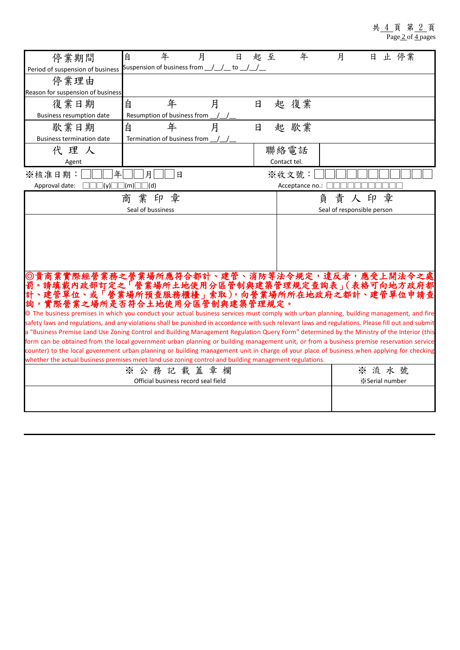## 共 4 頁 第 2 頁 Page 2 of 4 pages

| 停業期間                                                                                                                                                                                                                                                 | 自<br>年<br>月                                                                                                                             | 日      | 起 至 | 年                          | 月     | 日                      | 止 停業 |  |
|------------------------------------------------------------------------------------------------------------------------------------------------------------------------------------------------------------------------------------------------------|-----------------------------------------------------------------------------------------------------------------------------------------|--------|-----|----------------------------|-------|------------------------|------|--|
| Period of suspension of business                                                                                                                                                                                                                     | Suspension of business from __/__/__ to __/__/__                                                                                        |        |     |                            |       |                        |      |  |
| 停業理由                                                                                                                                                                                                                                                 |                                                                                                                                         |        |     |                            |       |                        |      |  |
| Reason for suspension of business                                                                                                                                                                                                                    |                                                                                                                                         |        |     |                            |       |                        |      |  |
| 復業日期                                                                                                                                                                                                                                                 | 年<br>自                                                                                                                                  | 月<br>日 |     | 起 復業                       |       |                        |      |  |
| Business resumption date                                                                                                                                                                                                                             | Resumption of business from                                                                                                             |        |     |                            |       |                        |      |  |
| 歇業日期                                                                                                                                                                                                                                                 | 自<br>年                                                                                                                                  | 月<br>日 |     | 起 歇業                       |       |                        |      |  |
| <b>Business termination date</b>                                                                                                                                                                                                                     | Termination of business from                                                                                                            |        |     |                            |       |                        |      |  |
| 代理人                                                                                                                                                                                                                                                  |                                                                                                                                         |        |     | 聯絡電話                       |       |                        |      |  |
| Agent                                                                                                                                                                                                                                                |                                                                                                                                         |        |     | Contact tel.               |       |                        |      |  |
| 年<br>※核准日期:                                                                                                                                                                                                                                          | 月<br>日                                                                                                                                  |        |     | ※收文號:                      |       |                        |      |  |
| Approval date:                                                                                                                                                                                                                                       | $\Box\Box(y)\Box\Box(m)\Box\Box(d)$                                                                                                     |        |     | Acceptance no.:            |       |                        |      |  |
|                                                                                                                                                                                                                                                      | 業印章<br>商                                                                                                                                |        |     |                            | 負     | 責人印章                   |      |  |
|                                                                                                                                                                                                                                                      | Seal of bussiness                                                                                                                       |        |     | Seal of responsible person |       |                        |      |  |
|                                                                                                                                                                                                                                                      |                                                                                                                                         |        |     |                            |       |                        |      |  |
|                                                                                                                                                                                                                                                      |                                                                                                                                         |        |     |                            |       |                        |      |  |
|                                                                                                                                                                                                                                                      |                                                                                                                                         |        |     |                            |       |                        |      |  |
|                                                                                                                                                                                                                                                      |                                                                                                                                         |        |     |                            |       |                        |      |  |
|                                                                                                                                                                                                                                                      |                                                                                                                                         |        |     |                            |       |                        |      |  |
|                                                                                                                                                                                                                                                      |                                                                                                                                         |        |     |                            |       |                        |      |  |
|                                                                                                                                                                                                                                                      |                                                                                                                                         |        |     |                            |       |                        |      |  |
|                                                                                                                                                                                                                                                      | 貴商業實際經營業務之營業場所應符合都計、建管、消防等法令規定,違反者,應受上開法令之處。請填載內政部訂定之「營業場所土地使用分區管制與建築管理規定查詢表」(表格可向地方政府都<br>。請填載內政部訂定之「營業場所土地使用分區管制與建築管理規定查詢表」(表格可向地方政府都 |        |     |                            |       |                        |      |  |
|                                                                                                                                                                                                                                                      | 實際營業之場所是否符合土地使用分區管制與建築管理規定。                                                                                                             |        |     |                            |       |                        |      |  |
| The business premises in which you conduct your actual business services must comply with urban planning, building management, and fire                                                                                                              |                                                                                                                                         |        |     |                            |       |                        |      |  |
| safety laws and regulations, and any violations shall be punished in accordance with such relevant laws and regulations. Please fill out and submit                                                                                                  |                                                                                                                                         |        |     |                            |       |                        |      |  |
| a "Business Premise Land Use Zoning Control and Building Management Regulation Query Form" determined by the Ministry of the Interior (this                                                                                                          |                                                                                                                                         |        |     |                            |       |                        |      |  |
| form can be obtained from the local government urban planning or building management unit, or from a business premise reservation service                                                                                                            |                                                                                                                                         |        |     |                            |       |                        |      |  |
| counter) to the local government urban planning or building management unit in charge of your place of business when applying for checking<br>whether the actual business premises meet land use zoning control and building management regulations. |                                                                                                                                         |        |     |                            |       |                        |      |  |
|                                                                                                                                                                                                                                                      | ※ 公 務 記 載 蓋 章 欄                                                                                                                         |        |     |                            |       |                        |      |  |
|                                                                                                                                                                                                                                                      |                                                                                                                                         |        |     |                            | ※ 流水號 |                        |      |  |
|                                                                                                                                                                                                                                                      | Official business record seal field                                                                                                     |        |     |                            |       | <b>X</b> Serial number |      |  |
|                                                                                                                                                                                                                                                      |                                                                                                                                         |        |     |                            |       |                        |      |  |
|                                                                                                                                                                                                                                                      |                                                                                                                                         |        |     |                            |       |                        |      |  |
|                                                                                                                                                                                                                                                      |                                                                                                                                         |        |     |                            |       |                        |      |  |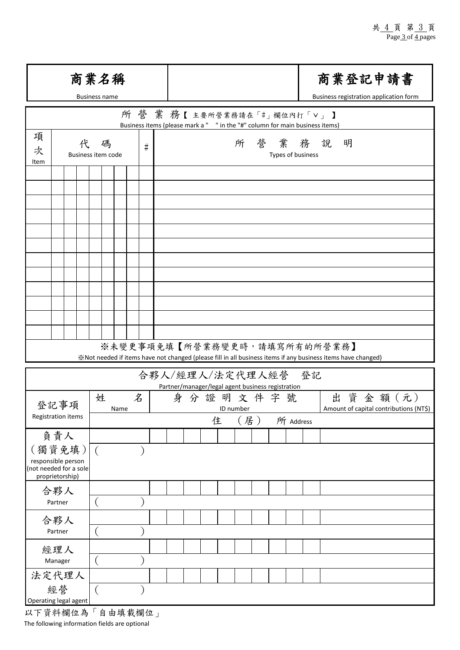|                                                                           | 商業名稱<br><b>Business name</b> |                                                                                                                                              | 商業登記申請書<br>Business registration application form |  |  |  |  |  |
|---------------------------------------------------------------------------|------------------------------|----------------------------------------------------------------------------------------------------------------------------------------------|---------------------------------------------------|--|--|--|--|--|
|                                                                           |                              | 所營業務【主要所營業務請在「#」欄位內打「V」】<br>Business items (please mark a " " in the "#" column for main business items)                                     |                                                   |  |  |  |  |  |
| 項<br>代<br>次<br>Item                                                       | 碼<br>#<br>Business item code | 所营業務說明<br>Types of business                                                                                                                  |                                                   |  |  |  |  |  |
|                                                                           |                              |                                                                                                                                              |                                                   |  |  |  |  |  |
|                                                                           |                              |                                                                                                                                              |                                                   |  |  |  |  |  |
|                                                                           |                              |                                                                                                                                              |                                                   |  |  |  |  |  |
|                                                                           |                              |                                                                                                                                              |                                                   |  |  |  |  |  |
|                                                                           |                              |                                                                                                                                              |                                                   |  |  |  |  |  |
|                                                                           |                              |                                                                                                                                              |                                                   |  |  |  |  |  |
|                                                                           |                              |                                                                                                                                              |                                                   |  |  |  |  |  |
|                                                                           |                              |                                                                                                                                              |                                                   |  |  |  |  |  |
|                                                                           |                              |                                                                                                                                              |                                                   |  |  |  |  |  |
|                                                                           |                              | ※未變更事項免填【所營業務變更時,請填寫所有的所營業務】<br>※Not needed if items have not changed (please fill in all business items if any business items have changed) |                                                   |  |  |  |  |  |
|                                                                           |                              | 合夥人/經理人/法定代理人經營 登記                                                                                                                           |                                                   |  |  |  |  |  |
| 登記事項                                                                      | 名<br>姓<br>Name               | Partner/manager/legal agent business registration<br>身分證明文件字號<br>ID number                                                                   | 出資金額(元)<br>Amount of capital contributions (NT\$) |  |  |  |  |  |
| Registration items                                                        |                              | (居)<br>住                                                                                                                                     | 所 Address                                         |  |  |  |  |  |
| 負責人                                                                       |                              |                                                                                                                                              |                                                   |  |  |  |  |  |
| (獨資免填)<br>responsible person<br>(not needed for a sole<br>proprietorship) | $\left($                     |                                                                                                                                              |                                                   |  |  |  |  |  |
| 合夥人                                                                       |                              |                                                                                                                                              |                                                   |  |  |  |  |  |
| Partner                                                                   |                              |                                                                                                                                              |                                                   |  |  |  |  |  |
| 合夥人<br>Partner                                                            |                              |                                                                                                                                              |                                                   |  |  |  |  |  |
| 經理人                                                                       |                              |                                                                                                                                              |                                                   |  |  |  |  |  |
| Manager                                                                   |                              |                                                                                                                                              |                                                   |  |  |  |  |  |
| 法定代理人                                                                     |                              |                                                                                                                                              |                                                   |  |  |  |  |  |
| 經營<br>Operating legal agent<br>以下資料欄位為                                    | 自由填載欄位」                      |                                                                                                                                              |                                                   |  |  |  |  |  |

The following information fields are optional